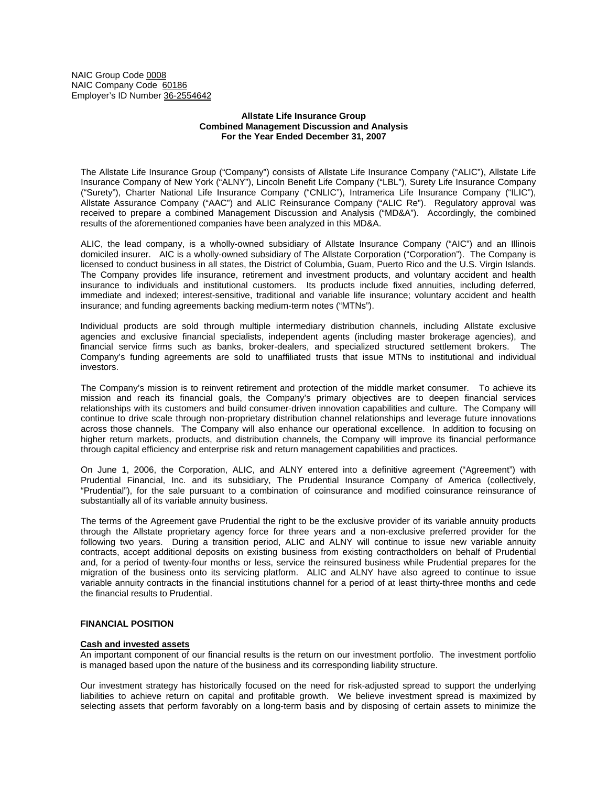NAIC Group Code 0008 NAIC Company Code 60186 Employer's ID Number 36-2554642

### **Allstate Life Insurance Group Combined Management Discussion and Analysis For the Year Ended December 31, 2007**

The Allstate Life Insurance Group ("Company") consists of Allstate Life Insurance Company ("ALIC"), Allstate Life Insurance Company of New York ("ALNY"), Lincoln Benefit Life Company ("LBL"), Surety Life Insurance Company ("Surety"), Charter National Life Insurance Company ("CNLIC"), Intramerica Life Insurance Company ("ILIC"), Allstate Assurance Company ("AAC") and ALIC Reinsurance Company ("ALIC Re"). Regulatory approval was received to prepare a combined Management Discussion and Analysis ("MD&A"). Accordingly, the combined results of the aforementioned companies have been analyzed in this MD&A.

ALIC, the lead company, is a wholly-owned subsidiary of Allstate Insurance Company ("AIC") and an Illinois domiciled insurer. AIC is a wholly-owned subsidiary of The Allstate Corporation ("Corporation"). The Company is licensed to conduct business in all states, the District of Columbia, Guam, Puerto Rico and the U.S. Virgin Islands. The Company provides life insurance, retirement and investment products, and voluntary accident and health insurance to individuals and institutional customers. Its products include fixed annuities, including deferred, immediate and indexed; interest-sensitive, traditional and variable life insurance; voluntary accident and health insurance; and funding agreements backing medium-term notes ("MTNs").

Individual products are sold through multiple intermediary distribution channels, including Allstate exclusive agencies and exclusive financial specialists, independent agents (including master brokerage agencies), and financial service firms such as banks, broker-dealers, and specialized structured settlement brokers. The Company's funding agreements are sold to unaffiliated trusts that issue MTNs to institutional and individual investors.

The Company's mission is to reinvent retirement and protection of the middle market consumer. To achieve its mission and reach its financial goals, the Company's primary objectives are to deepen financial services relationships with its customers and build consumer-driven innovation capabilities and culture. The Company will continue to drive scale through non-proprietary distribution channel relationships and leverage future innovations across those channels. The Company will also enhance our operational excellence. In addition to focusing on higher return markets, products, and distribution channels, the Company will improve its financial performance through capital efficiency and enterprise risk and return management capabilities and practices.

On June 1, 2006, the Corporation, ALIC, and ALNY entered into a definitive agreement ("Agreement") with Prudential Financial, Inc. and its subsidiary, The Prudential Insurance Company of America (collectively, "Prudential"), for the sale pursuant to a combination of coinsurance and modified coinsurance reinsurance of substantially all of its variable annuity business.

The terms of the Agreement gave Prudential the right to be the exclusive provider of its variable annuity products through the Allstate proprietary agency force for three years and a non-exclusive preferred provider for the following two years. During a transition period, ALIC and ALNY will continue to issue new variable annuity contracts, accept additional deposits on existing business from existing contractholders on behalf of Prudential and, for a period of twenty-four months or less, service the reinsured business while Prudential prepares for the migration of the business onto its servicing platform. ALIC and ALNY have also agreed to continue to issue variable annuity contracts in the financial institutions channel for a period of at least thirty-three months and cede the financial results to Prudential.

# **FINANCIAL POSITION**

#### **Cash and invested assets**

An important component of our financial results is the return on our investment portfolio. The investment portfolio is managed based upon the nature of the business and its corresponding liability structure.

Our investment strategy has historically focused on the need for risk-adjusted spread to support the underlying liabilities to achieve return on capital and profitable growth. We believe investment spread is maximized by selecting assets that perform favorably on a long-term basis and by disposing of certain assets to minimize the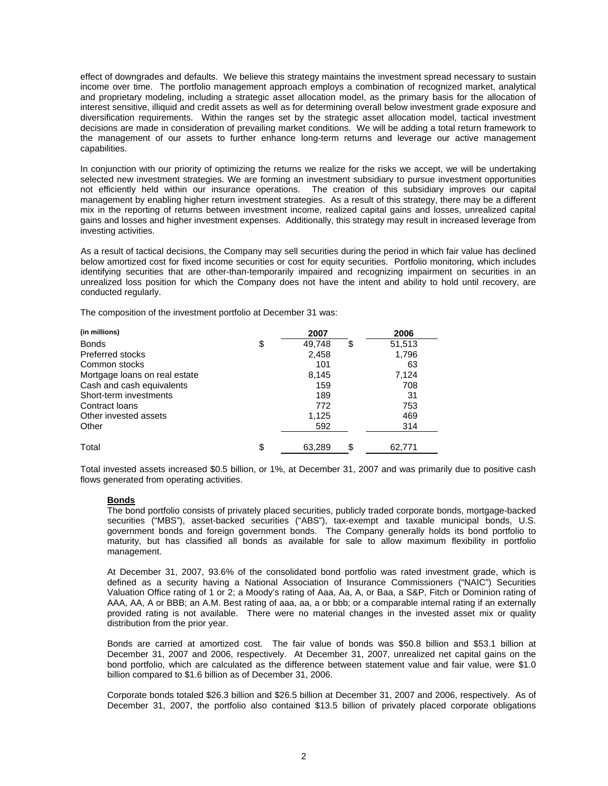effect of downgrades and defaults. We believe this strategy maintains the investment spread necessary to sustain income over time. The portfolio management approach employs a combination of recognized market, analytical and proprietary modeling, including a strategic asset allocation model, as the primary basis for the allocation of interest sensitive, illiquid and credit assets as well as for determining overall below investment grade exposure and diversification requirements. Within the ranges set by the strategic asset allocation model, tactical investment decisions are made in consideration of prevailing market conditions. We will be adding a total return framework to the management of our assets to further enhance long-term returns and leverage our active management capabilities.

In conjunction with our priority of optimizing the returns we realize for the risks we accept, we will be undertaking selected new investment strategies. We are forming an investment subsidiary to pursue investment opportunities not efficiently held within our insurance operations. The creation of this subsidiary improves our capital management by enabling higher return investment strategies. As a result of this strategy, there may be a different mix in the reporting of returns between investment income, realized capital gains and losses, unrealized capital gains and losses and higher investment expenses. Additionally, this strategy may result in increased leverage from investing activities.

As a result of tactical decisions, the Company may sell securities during the period in which fair value has declined below amortized cost for fixed income securities or cost for equity securities. Portfolio monitoring, which includes identifying securities that are other-than-temporarily impaired and recognizing impairment on securities in an unrealized loss position for which the Company does not have the intent and ability to hold until recovery, are conducted regularly.

The composition of the investment portfolio at December 31 was:

| (in millions)                 | 2007               | 2006   |
|-------------------------------|--------------------|--------|
| <b>Bonds</b>                  | \$<br>49,748<br>\$ | 51,513 |
| <b>Preferred stocks</b>       | 2,458              | 1,796  |
| Common stocks                 | 101                | 63     |
| Mortgage loans on real estate | 8,145              | 7,124  |
| Cash and cash equivalents     | 159                | 708    |
| Short-term investments        | 189                | 31     |
| Contract loans                | 772                | 753    |
| Other invested assets         | 1,125              | 469    |
| Other                         | 592                | 314    |
| Total                         | \$<br>\$<br>63,289 | 62,771 |

Total invested assets increased \$0.5 billion, or 1%, at December 31, 2007 and was primarily due to positive cash flows generated from operating activities.

# **Bonds**

The bond portfolio consists of privately placed securities, publicly traded corporate bonds, mortgage-backed securities ("MBS"), asset-backed securities ("ABS"), tax-exempt and taxable municipal bonds, U.S. government bonds and foreign government bonds. The Company generally holds its bond portfolio to maturity, but has classified all bonds as available for sale to allow maximum flexibility in portfolio management.

At December 31, 2007, 93.6% of the consolidated bond portfolio was rated investment grade, which is defined as a security having a National Association of Insurance Commissioners ("NAIC") Securities Valuation Office rating of 1 or 2; a Moody's rating of Aaa, Aa, A, or Baa, a S&P, Fitch or Dominion rating of AAA, AA, A or BBB; an A.M. Best rating of aaa, aa, a or bbb; or a comparable internal rating if an externally provided rating is not available. There were no material changes in the invested asset mix or quality distribution from the prior year.

Bonds are carried at amortized cost. The fair value of bonds was \$50.8 billion and \$53.1 billion at December 31, 2007 and 2006, respectively. At December 31, 2007, unrealized net capital gains on the bond portfolio, which are calculated as the difference between statement value and fair value, were \$1.0 billion compared to \$1.6 billion as of December 31, 2006.

Corporate bonds totaled \$26.3 billion and \$26.5 billion at December 31, 2007 and 2006, respectively. As of December 31, 2007, the portfolio also contained \$13.5 billion of privately placed corporate obligations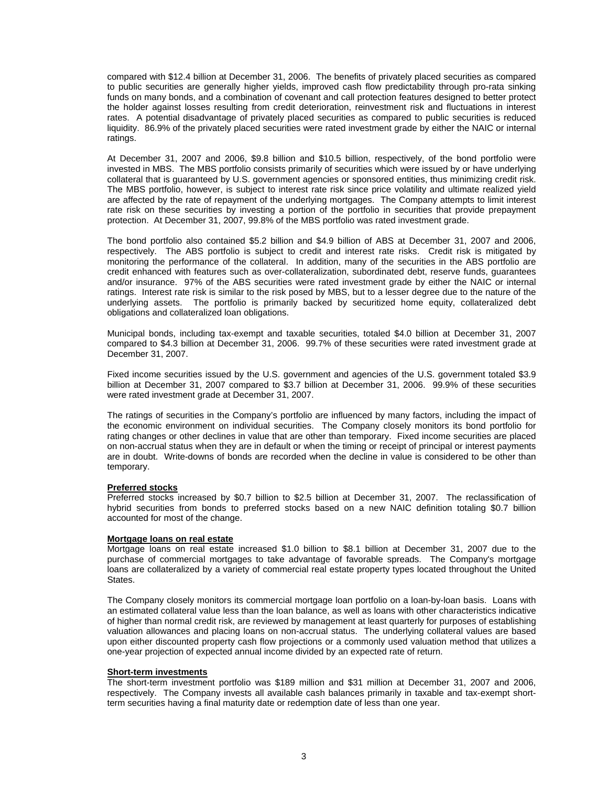compared with \$12.4 billion at December 31, 2006. The benefits of privately placed securities as compared to public securities are generally higher yields, improved cash flow predictability through pro-rata sinking funds on many bonds, and a combination of covenant and call protection features designed to better protect the holder against losses resulting from credit deterioration, reinvestment risk and fluctuations in interest rates. A potential disadvantage of privately placed securities as compared to public securities is reduced liquidity. 86.9% of the privately placed securities were rated investment grade by either the NAIC or internal ratings.

At December 31, 2007 and 2006, \$9.8 billion and \$10.5 billion, respectively, of the bond portfolio were invested in MBS. The MBS portfolio consists primarily of securities which were issued by or have underlying collateral that is guaranteed by U.S. government agencies or sponsored entities, thus minimizing credit risk. The MBS portfolio, however, is subject to interest rate risk since price volatility and ultimate realized yield are affected by the rate of repayment of the underlying mortgages. The Company attempts to limit interest rate risk on these securities by investing a portion of the portfolio in securities that provide prepayment protection. At December 31, 2007, 99.8% of the MBS portfolio was rated investment grade.

The bond portfolio also contained \$5.2 billion and \$4.9 billion of ABS at December 31, 2007 and 2006, respectively. The ABS portfolio is subject to credit and interest rate risks. Credit risk is mitigated by monitoring the performance of the collateral. In addition, many of the securities in the ABS portfolio are credit enhanced with features such as over-collateralization, subordinated debt, reserve funds, guarantees and/or insurance. 97% of the ABS securities were rated investment grade by either the NAIC or internal ratings. Interest rate risk is similar to the risk posed by MBS, but to a lesser degree due to the nature of the underlying assets. The portfolio is primarily backed by securitized home equity, collateralized debt obligations and collateralized loan obligations.

Municipal bonds, including tax-exempt and taxable securities, totaled \$4.0 billion at December 31, 2007 compared to \$4.3 billion at December 31, 2006. 99.7% of these securities were rated investment grade at December 31, 2007.

Fixed income securities issued by the U.S. government and agencies of the U.S. government totaled \$3.9 billion at December 31, 2007 compared to \$3.7 billion at December 31, 2006. 99.9% of these securities were rated investment grade at December 31, 2007.

The ratings of securities in the Company's portfolio are influenced by many factors, including the impact of the economic environment on individual securities. The Company closely monitors its bond portfolio for rating changes or other declines in value that are other than temporary. Fixed income securities are placed on non-accrual status when they are in default or when the timing or receipt of principal or interest payments are in doubt. Write-downs of bonds are recorded when the decline in value is considered to be other than temporary.

#### **Preferred stocks**

Preferred stocks increased by \$0.7 billion to \$2.5 billion at December 31, 2007. The reclassification of hybrid securities from bonds to preferred stocks based on a new NAIC definition totaling \$0.7 billion accounted for most of the change.

### **Mortgage loans on real estate**

Mortgage loans on real estate increased \$1.0 billion to \$8.1 billion at December 31, 2007 due to the purchase of commercial mortgages to take advantage of favorable spreads. The Company's mortgage loans are collateralized by a variety of commercial real estate property types located throughout the United States.

The Company closely monitors its commercial mortgage loan portfolio on a loan-by-loan basis. Loans with an estimated collateral value less than the loan balance, as well as loans with other characteristics indicative of higher than normal credit risk, are reviewed by management at least quarterly for purposes of establishing valuation allowances and placing loans on non-accrual status. The underlying collateral values are based upon either discounted property cash flow projections or a commonly used valuation method that utilizes a one-year projection of expected annual income divided by an expected rate of return.

### **Short-term investments**

The short-term investment portfolio was \$189 million and \$31 million at December 31, 2007 and 2006, respectively. The Company invests all available cash balances primarily in taxable and tax-exempt shortterm securities having a final maturity date or redemption date of less than one year.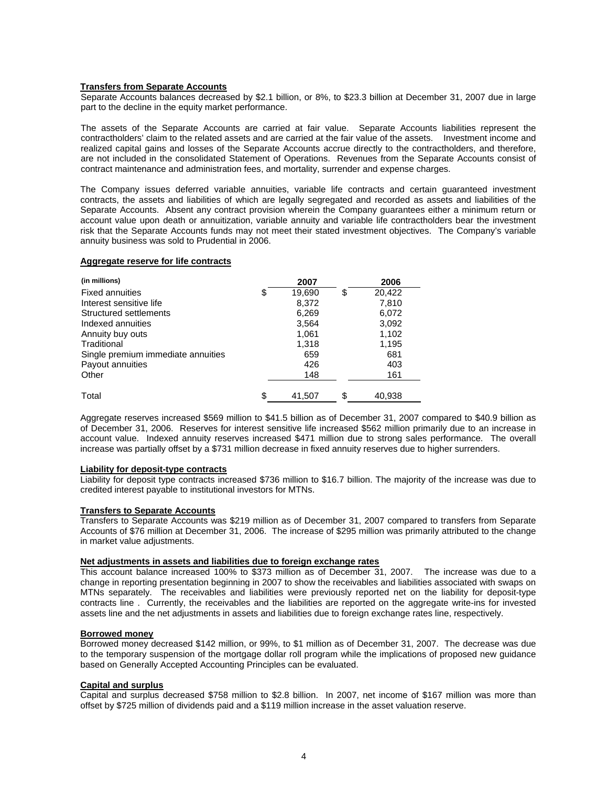### **Transfers from Separate Accounts**

Separate Accounts balances decreased by \$2.1 billion, or 8%, to \$23.3 billion at December 31, 2007 due in large part to the decline in the equity market performance.

The assets of the Separate Accounts are carried at fair value. Separate Accounts liabilities represent the contractholders' claim to the related assets and are carried at the fair value of the assets. Investment income and realized capital gains and losses of the Separate Accounts accrue directly to the contractholders, and therefore, are not included in the consolidated Statement of Operations. Revenues from the Separate Accounts consist of contract maintenance and administration fees, and mortality, surrender and expense charges.

The Company issues deferred variable annuities, variable life contracts and certain guaranteed investment contracts, the assets and liabilities of which are legally segregated and recorded as assets and liabilities of the Separate Accounts. Absent any contract provision wherein the Company guarantees either a minimum return or account value upon death or annuitization, variable annuity and variable life contractholders bear the investment risk that the Separate Accounts funds may not meet their stated investment objectives. The Company's variable annuity business was sold to Prudential in 2006.

#### **Aggregate reserve for life contracts**

| (in millions)                      | 2007         | 2006         |
|------------------------------------|--------------|--------------|
| <b>Fixed annuities</b>             | \$<br>19,690 | \$<br>20,422 |
| Interest sensitive life            | 8,372        | 7,810        |
| Structured settlements             | 6,269        | 6,072        |
| Indexed annuities                  | 3,564        | 3,092        |
| Annuity buy outs                   | 1.061        | 1,102        |
| Traditional                        | 1,318        | 1,195        |
| Single premium immediate annuities | 659          | 681          |
| Payout annuities                   | 426          | 403          |
| Other                              | 148          | 161          |
|                                    |              |              |
| Total                              | \$<br>41.507 | \$<br>40.938 |

Aggregate reserves increased \$569 million to \$41.5 billion as of December 31, 2007 compared to \$40.9 billion as of December 31, 2006. Reserves for interest sensitive life increased \$562 million primarily due to an increase in account value. Indexed annuity reserves increased \$471 million due to strong sales performance. The overall increase was partially offset by a \$731 million decrease in fixed annuity reserves due to higher surrenders.

### **Liability for deposit-type contracts**

Liability for deposit type contracts increased \$736 million to \$16.7 billion. The majority of the increase was due to credited interest payable to institutional investors for MTNs.

#### **Transfers to Separate Accounts**

Transfers to Separate Accounts was \$219 million as of December 31, 2007 compared to transfers from Separate Accounts of \$76 million at December 31, 2006. The increase of \$295 million was primarily attributed to the change in market value adjustments.

# **Net adjustments in assets and liabilities due to foreign exchange rates**

This account balance increased 100% to \$373 million as of December 31, 2007. The increase was due to a change in reporting presentation beginning in 2007 to show the receivables and liabilities associated with swaps on MTNs separately. The receivables and liabilities were previously reported net on the liability for deposit-type contracts line . Currently, the receivables and the liabilities are reported on the aggregate write-ins for invested assets line and the net adjustments in assets and liabilities due to foreign exchange rates line, respectively.

### **Borrowed money**

Borrowed money decreased \$142 million, or 99%, to \$1 million as of December 31, 2007. The decrease was due to the temporary suspension of the mortgage dollar roll program while the implications of proposed new guidance based on Generally Accepted Accounting Principles can be evaluated.

#### **Capital and surplus**

Capital and surplus decreased \$758 million to \$2.8 billion. In 2007, net income of \$167 million was more than offset by \$725 million of dividends paid and a \$119 million increase in the asset valuation reserve.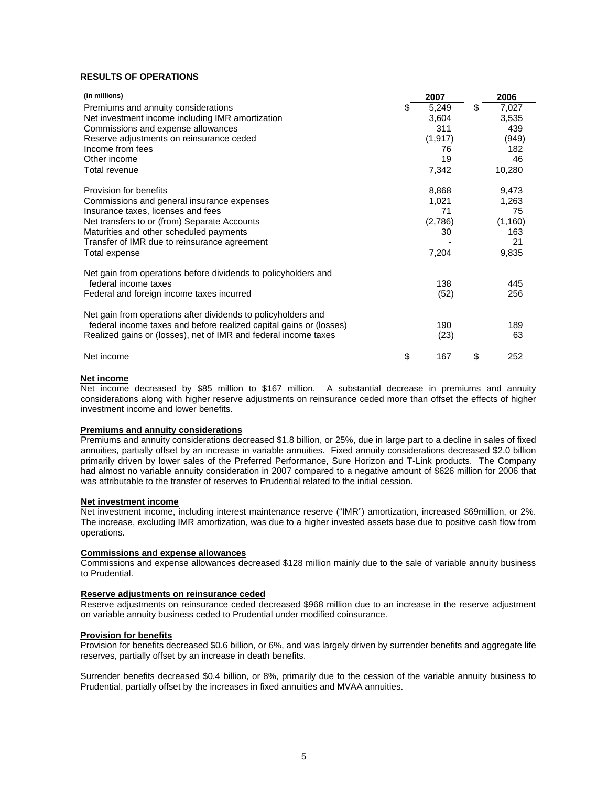# **RESULTS OF OPERATIONS**

| (in millions)                                                      | 2007        | 2006        |
|--------------------------------------------------------------------|-------------|-------------|
| Premiums and annuity considerations                                | \$<br>5,249 | \$<br>7,027 |
| Net investment income including IMR amortization                   | 3,604       | 3,535       |
| Commissions and expense allowances                                 | 311         | 439         |
| Reserve adjustments on reinsurance ceded                           | (1, 917)    | (949)       |
| Income from fees                                                   | 76          | 182         |
| Other income                                                       | 19          | 46          |
| Total revenue                                                      | 7,342       | 10,280      |
| Provision for benefits                                             | 8,868       | 9,473       |
| Commissions and general insurance expenses                         | 1,021       | 1,263       |
| Insurance taxes, licenses and fees                                 | 71          | 75          |
| Net transfers to or (from) Separate Accounts                       | (2,786)     | (1, 160)    |
| Maturities and other scheduled payments                            | 30          | 163         |
| Transfer of IMR due to reinsurance agreement                       |             | 21          |
| Total expense                                                      | 7,204       | 9,835       |
| Net gain from operations before dividends to policyholders and     |             |             |
| federal income taxes                                               | 138         | 445         |
| Federal and foreign income taxes incurred                          | (52)        | 256         |
| Net gain from operations after dividends to policyholders and      |             |             |
| federal income taxes and before realized capital gains or (losses) | 190         | 189         |
| Realized gains or (losses), net of IMR and federal income taxes    | (23)        | 63          |
| Net income                                                         | \$<br>167   | \$<br>252   |

#### **Net income**

Net income decreased by \$85 million to \$167 million. A substantial decrease in premiums and annuity considerations along with higher reserve adjustments on reinsurance ceded more than offset the effects of higher investment income and lower benefits.

### **Premiums and annuity considerations**

Premiums and annuity considerations decreased \$1.8 billion, or 25%, due in large part to a decline in sales of fixed annuities, partially offset by an increase in variable annuities. Fixed annuity considerations decreased \$2.0 billion primarily driven by lower sales of the Preferred Performance, Sure Horizon and T-Link products. The Company had almost no variable annuity consideration in 2007 compared to a negative amount of \$626 million for 2006 that was attributable to the transfer of reserves to Prudential related to the initial cession.

#### **Net investment income**

Net investment income, including interest maintenance reserve ("IMR") amortization, increased \$69million, or 2%. The increase, excluding IMR amortization, was due to a higher invested assets base due to positive cash flow from operations.

### **Commissions and expense allowances**

Commissions and expense allowances decreased \$128 million mainly due to the sale of variable annuity business to Prudential.

#### **Reserve adjustments on reinsurance ceded**

Reserve adjustments on reinsurance ceded decreased \$968 million due to an increase in the reserve adjustment on variable annuity business ceded to Prudential under modified coinsurance.

# **Provision for benefits**

Provision for benefits decreased \$0.6 billion, or 6%, and was largely driven by surrender benefits and aggregate life reserves, partially offset by an increase in death benefits.

Surrender benefits decreased \$0.4 billion, or 8%, primarily due to the cession of the variable annuity business to Prudential, partially offset by the increases in fixed annuities and MVAA annuities.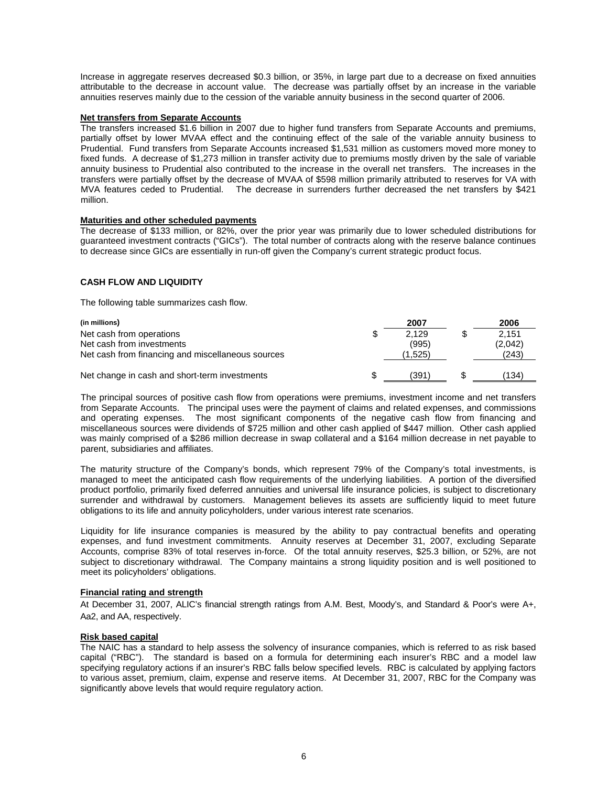Increase in aggregate reserves decreased \$0.3 billion, or 35%, in large part due to a decrease on fixed annuities attributable to the decrease in account value. The decrease was partially offset by an increase in the variable annuities reserves mainly due to the cession of the variable annuity business in the second quarter of 2006.

### **Net transfers from Separate Accounts**

The transfers increased \$1.6 billion in 2007 due to higher fund transfers from Separate Accounts and premiums, partially offset by lower MVAA effect and the continuing effect of the sale of the variable annuity business to Prudential. Fund transfers from Separate Accounts increased \$1,531 million as customers moved more money to fixed funds. A decrease of \$1,273 million in transfer activity due to premiums mostly driven by the sale of variable annuity business to Prudential also contributed to the increase in the overall net transfers. The increases in the transfers were partially offset by the decrease of MVAA of \$598 million primarily attributed to reserves for VA with MVA features ceded to Prudential. The decrease in surrenders further decreased the net transfers by \$421 million.

# **Maturities and other scheduled payments**

The decrease of \$133 million, or 82%, over the prior year was primarily due to lower scheduled distributions for guaranteed investment contracts ("GICs"). The total number of contracts along with the reserve balance continues to decrease since GICs are essentially in run-off given the Company's current strategic product focus.

# **CASH FLOW AND LIQUIDITY**

The following table summarizes cash flow.

| (in millions)                                     |    | 2007    | 2006    |
|---------------------------------------------------|----|---------|---------|
| Net cash from operations                          | \$ | 2.129   | 2.151   |
| Net cash from investments                         |    | (995)   | (2,042) |
| Net cash from financing and miscellaneous sources |    | (1.525) | (243)   |
|                                                   |    |         |         |
| Net change in cash and short-term investments     | S  | (391)   | (134)   |

The principal sources of positive cash flow from operations were premiums, investment income and net transfers from Separate Accounts. The principal uses were the payment of claims and related expenses, and commissions and operating expenses. The most significant components of the negative cash flow from financing and miscellaneous sources were dividends of \$725 million and other cash applied of \$447 million. Other cash applied was mainly comprised of a \$286 million decrease in swap collateral and a \$164 million decrease in net payable to parent, subsidiaries and affiliates.

The maturity structure of the Company's bonds, which represent 79% of the Company's total investments, is managed to meet the anticipated cash flow requirements of the underlying liabilities. A portion of the diversified product portfolio, primarily fixed deferred annuities and universal life insurance policies, is subject to discretionary surrender and withdrawal by customers. Management believes its assets are sufficiently liquid to meet future obligations to its life and annuity policyholders, under various interest rate scenarios.

Liquidity for life insurance companies is measured by the ability to pay contractual benefits and operating expenses, and fund investment commitments. Annuity reserves at December 31, 2007, excluding Separate Accounts, comprise 83% of total reserves in-force. Of the total annuity reserves, \$25.3 billion, or 52%, are not subject to discretionary withdrawal. The Company maintains a strong liquidity position and is well positioned to meet its policyholders' obligations.

# **Financial rating and strength**

At December 31, 2007, ALIC's financial strength ratings from A.M. Best, Moody's, and Standard & Poor's were A+, Aa2, and AA, respectively.

# **Risk based capital**

The NAIC has a standard to help assess the solvency of insurance companies, which is referred to as risk based capital ("RBC"). The standard is based on a formula for determining each insurer's RBC and a model law specifying regulatory actions if an insurer's RBC falls below specified levels. RBC is calculated by applying factors to various asset, premium, claim, expense and reserve items. At December 31, 2007, RBC for the Company was significantly above levels that would require regulatory action.